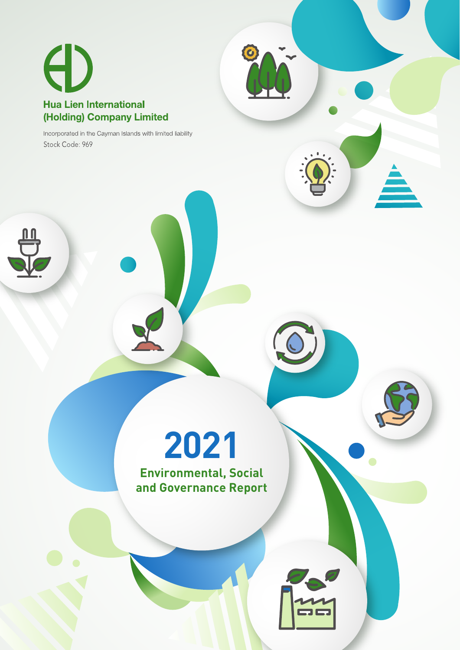

Incorporated in the Cayman Islands with limited liability Stock Code: 969

> **2021 Environmental, Social**

 $\bullet$ 

**and Governance Report**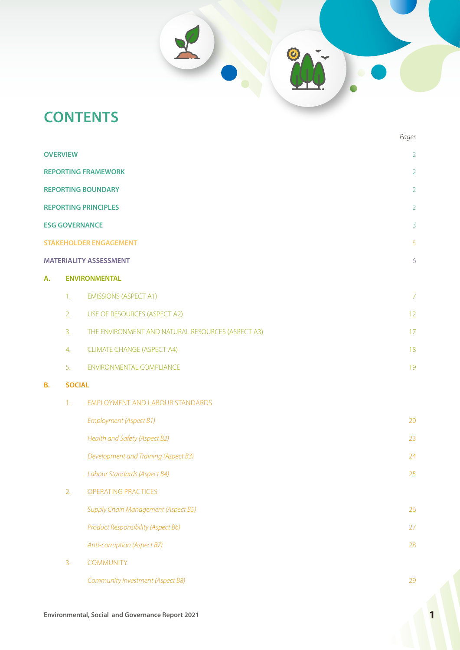# **CONTENTS**

|    |                 |                                                   | Pages          |
|----|-----------------|---------------------------------------------------|----------------|
|    | <b>OVERVIEW</b> |                                                   | $\overline{2}$ |
|    |                 | <b>REPORTING FRAMEWORK</b>                        | $\overline{2}$ |
|    |                 | <b>REPORTING BOUNDARY</b>                         | $\overline{2}$ |
|    |                 | <b>REPORTING PRINCIPLES</b>                       | $\overline{2}$ |
|    |                 | <b>ESG GOVERNANCE</b>                             | $\overline{3}$ |
|    |                 | <b>STAKEHOLDER ENGAGEMENT</b>                     | 5              |
|    |                 | <b>MATERIALITY ASSESSMENT</b>                     | $\sqrt{6}$     |
| А. |                 | <b>ENVIRONMENTAL</b>                              |                |
|    | 1.              | <b>EMISSIONS (ASPECT A1)</b>                      | $\overline{7}$ |
|    | 2.              | USE OF RESOURCES (ASPECT A2)                      | 12             |
|    | 3.              | THE ENVIRONMENT AND NATURAL RESOURCES (ASPECT A3) | 17             |
|    | 4.              | <b>CLIMATE CHANGE (ASPECT A4)</b>                 | 18             |
|    | 5.              | <b>ENVIRONMENTAL COMPLIANCE</b>                   | 19             |
| В. | <b>SOCIAL</b>   |                                                   |                |
|    | 1.              | EMPLOYMENT AND LABOUR STANDARDS                   |                |
|    |                 | Employment (Aspect B1)                            | 20             |
|    |                 | Health and Safety (Aspect B2)                     | 23             |
|    |                 | Development and Training (Aspect B3)              | 24             |
|    |                 | Labour Standards (Aspect B4)                      | 25             |
|    | 2.              | OPERATING PRACTICES                               |                |
|    |                 | Supply Chain Management (Aspect B5)               | 26             |
|    |                 | Product Responsibility (Aspect B6)                | 27             |
|    |                 | Anti-corruption (Aspect B7)                       | 28             |
|    | 3.              | <b>COMMUNITY</b>                                  |                |
|    |                 | Community Investment (Aspect B8)                  | 29             |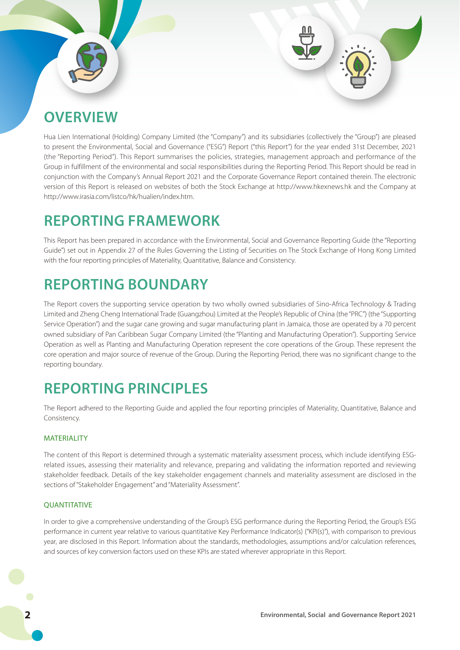# **OVERVIEW**

Hua Lien International (Holding) Company Limited (the "Company") and its subsidiaries (collectively the "Group") are pleased to present the Environmental, Social and Governance ("ESG") Report ("this Report") for the year ended 31st December, 2021 (the "Reporting Period"). This Report summarises the policies, strategies, management approach and performance of the Group in fulfillment of the environmental and social responsibilities during the Reporting Period. This Report should be read in conjunction with the Company's Annual Report 2021 and the Corporate Governance Report contained therein. The electronic version of this Report is released on websites of both the Stock Exchange at http://www.hkexnews.hk and the Company at http://www.irasia.com/listco/hk/hualien/index.htm.

# **REPORTING FRAMEWORK**

This Report has been prepared in accordance with the Environmental, Social and Governance Reporting Guide (the "Reporting Guide") set out in Appendix 27 of the Rules Governing the Listing of Securities on The Stock Exchange of Hong Kong Limited with the four reporting principles of Materiality, Quantitative, Balance and Consistency.

# **REPORTING BOUNDARY**

The Report covers the supporting service operation by two wholly owned subsidiaries of Sino-Africa Technology & Trading Limited and Zheng Cheng International Trade (Guangzhou) Limited at the People's Republic of China (the "PRC") (the "Supporting Service Operation") and the sugar cane growing and sugar manufacturing plant in Jamaica, those are operated by a 70 percent owned subsidiary of Pan Caribbean Sugar Company Limited (the "Planting and Manufacturing Operation"). Supporting Service Operation as well as Planting and Manufacturing Operation represent the core operations of the Group. These represent the core operation and major source of revenue of the Group. During the Reporting Period, there was no significant change to the reporting boundary.

# **REPORTING PRINCIPLES**

The Report adhered to the Reporting Guide and applied the four reporting principles of Materiality, Quantitative, Balance and Consistency.

## **MATERIALITY**

The content of this Report is determined through a systematic materiality assessment process, which include identifying ESGrelated issues, assessing their materiality and relevance, preparing and validating the information reported and reviewing stakeholder feedback. Details of the key stakeholder engagement channels and materiality assessment are disclosed in the sections of "Stakeholder Engagement" and "Materiality Assessment".

## **OUANTITATIVE**

In order to give a comprehensive understanding of the Group's ESG performance during the Reporting Period, the Group's ESG performance in current year relative to various quantitative Key Performance Indicator(s) ("KPI(s)"), with comparison to previous year, are disclosed in this Report. Information about the standards, methodologies, assumptions and/or calculation references, and sources of key conversion factors used on these KPIs are stated wherever appropriate in this Report.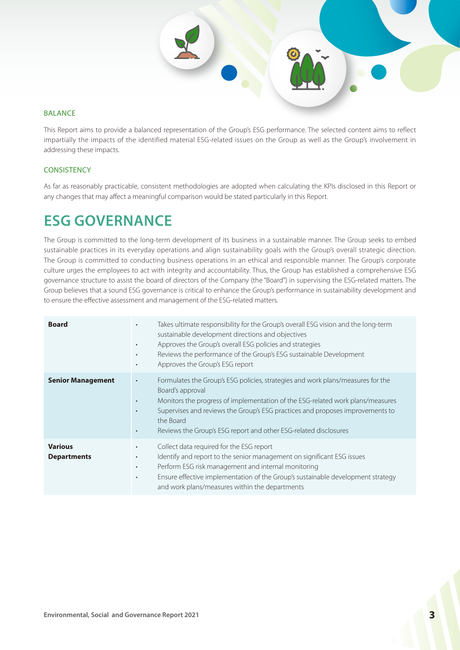### BALANCE

This Report aims to provide a balanced representation of the Group's ESG performance. The selected content aims to reflect impartially the impacts of the identified material ESG-related issues on the Group as well as the Group's involvement in addressing these impacts.

### **CONSISTENCY**

As far as reasonably practicable, consistent methodologies are adopted when calculating the KPIs disclosed in this Report or any changes that may affect a meaningful comparison would be stated particularly in this Report.

# **ESG GOVERNANCE**

The Group is committed to the long-term development of its business in a sustainable manner. The Group seeks to embed sustainable practices in its everyday operations and align sustainability goals with the Group's overall strategic direction. The Group is committed to conducting business operations in an ethical and responsible manner. The Group's corporate culture urges the employees to act with integrity and accountability. Thus, the Group has established a comprehensive ESG governance structure to assist the board of directors of the Company (the "Board") in supervising the ESG-related matters. The Group believes that a sound ESG governance is critical to enhance the Group's performance in sustainability development and to ensure the effective assessment and management of the ESG-related matters.

| <b>Board</b>                         | Takes ultimate responsibility for the Group's overall ESG vision and the long-term<br>$\bullet$<br>sustainable development directions and objectives<br>Approves the Group's overall ESG policies and strategies<br>$\bullet$<br>Reviews the performance of the Group's ESG sustainable Development<br>$\bullet$<br>Approves the Group's ESG report<br>$\bullet$                       |
|--------------------------------------|----------------------------------------------------------------------------------------------------------------------------------------------------------------------------------------------------------------------------------------------------------------------------------------------------------------------------------------------------------------------------------------|
| <b>Senior Management</b>             | Formulates the Group's ESG policies, strategies and work plans/measures for the<br>$\bullet$<br>Board's approval<br>Monitors the progress of implementation of the ESG-related work plans/measures<br>$\bullet$<br>Supervises and reviews the Group's ESG practices and proposes improvements to<br>٠<br>the Board<br>Reviews the Group's ESG report and other ESG-related disclosures |
| <b>Various</b><br><b>Departments</b> | Collect data required for the ESG report<br>$\bullet$<br>Identify and report to the senior management on significant ESG issues<br>$\bullet$<br>Perform ESG risk management and internal monitoring<br>$\bullet$<br>Ensure effective implementation of the Group's sustainable development strategy<br>$\bullet$<br>and work plans/measures within the departments                     |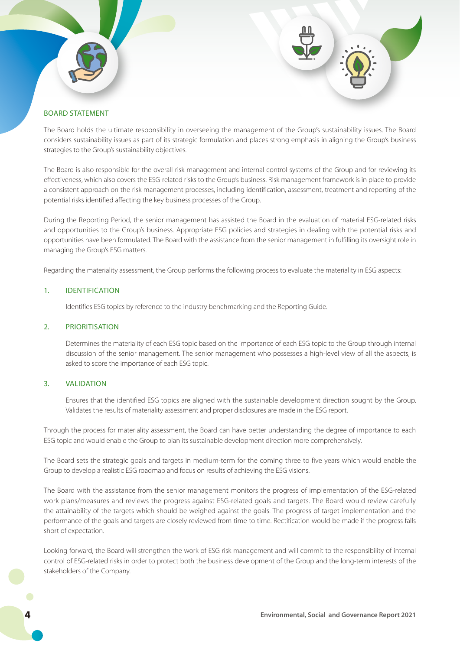## BOARD STATEMENT

The Board holds the ultimate responsibility in overseeing the management of the Group's sustainability issues. The Board considers sustainability issues as part of its strategic formulation and places strong emphasis in aligning the Group's business strategies to the Group's sustainability objectives.

The Board is also responsible for the overall risk management and internal control systems of the Group and for reviewing its effectiveness, which also covers the ESG-related risks to the Group's business. Risk management framework is in place to provide a consistent approach on the risk management processes, including identification, assessment, treatment and reporting of the potential risks identified affecting the key business processes of the Group.

During the Reporting Period, the senior management has assisted the Board in the evaluation of material ESG-related risks and opportunities to the Group's business. Appropriate ESG policies and strategies in dealing with the potential risks and opportunities have been formulated. The Board with the assistance from the senior management in fulfilling its oversight role in managing the Group's ESG matters.

Regarding the materiality assessment, the Group performs the following process to evaluate the materiality in ESG aspects:

#### 1. IDENTIFICATION

Identifies ESG topics by reference to the industry benchmarking and the Reporting Guide.

#### 2. PRIORITISATION

Determines the materiality of each ESG topic based on the importance of each ESG topic to the Group through internal discussion of the senior management. The senior management who possesses a high-level view of all the aspects, is asked to score the importance of each ESG topic.

### 3. VALIDATION

Ensures that the identified ESG topics are aligned with the sustainable development direction sought by the Group. Validates the results of materiality assessment and proper disclosures are made in the ESG report.

Through the process for materiality assessment, the Board can have better understanding the degree of importance to each ESG topic and would enable the Group to plan its sustainable development direction more comprehensively.

The Board sets the strategic goals and targets in medium-term for the coming three to five years which would enable the Group to develop a realistic ESG roadmap and focus on results of achieving the ESG visions.

The Board with the assistance from the senior management monitors the progress of implementation of the ESG-related work plans/measures and reviews the progress against ESG-related goals and targets. The Board would review carefully the attainability of the targets which should be weighed against the goals. The progress of target implementation and the performance of the goals and targets are closely reviewed from time to time. Rectification would be made if the progress falls short of expectation.

Looking forward, the Board will strengthen the work of ESG risk management and will commit to the responsibility of internal control of ESG-related risks in order to protect both the business development of the Group and the long-term interests of the stakeholders of the Company.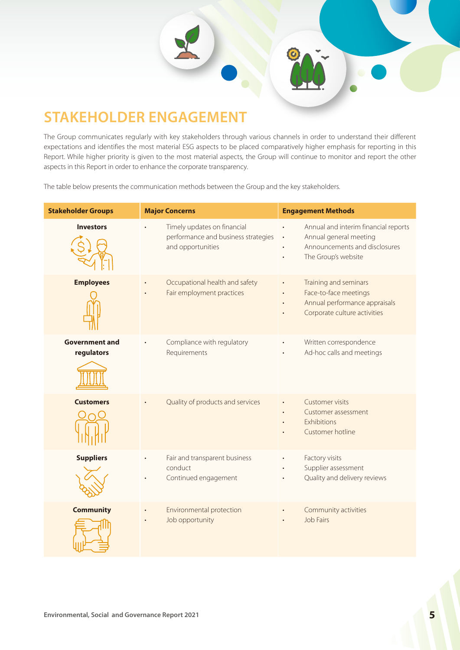

The Group communicates regularly with key stakeholders through various channels in order to understand their different expectations and identifies the most material ESG aspects to be placed comparatively higher emphasis for reporting in this Report. While higher priority is given to the most material aspects, the Group will continue to monitor and report the other aspects in this Report in order to enhance the corporate transparency.

The table below presents the communication methods between the Group and the key stakeholders.

| <b>Stakeholder Groups</b>           | <b>Major Concerns</b>                                                                   | <b>Engagement Methods</b>                                                                                              |
|-------------------------------------|-----------------------------------------------------------------------------------------|------------------------------------------------------------------------------------------------------------------------|
| <b>Investors</b>                    | Timely updates on financial<br>performance and business strategies<br>and opportunities | Annual and interim financial reports<br>Annual general meeting<br>Announcements and disclosures<br>The Group's website |
| <b>Employees</b>                    | Occupational health and safety<br>Fair employment practices                             | Training and seminars<br>Face-to-face meetings<br>Annual performance appraisals<br>Corporate culture activities        |
| <b>Government and</b><br>regulators | Compliance with regulatory<br>Requirements                                              | Written correspondence<br>Ad-hoc calls and meetings                                                                    |
| <b>Customers</b>                    | Quality of products and services                                                        | <b>Customer visits</b><br>Customer assessment<br>Exhibitions<br>Customer hotline                                       |
| <b>Suppliers</b>                    | Fair and transparent business<br>conduct<br>Continued engagement                        | Factory visits<br>Supplier assessment<br>Quality and delivery reviews                                                  |
| <b>Community</b>                    | Environmental protection<br>Job opportunity                                             | Community activities<br><b>Job Fairs</b>                                                                               |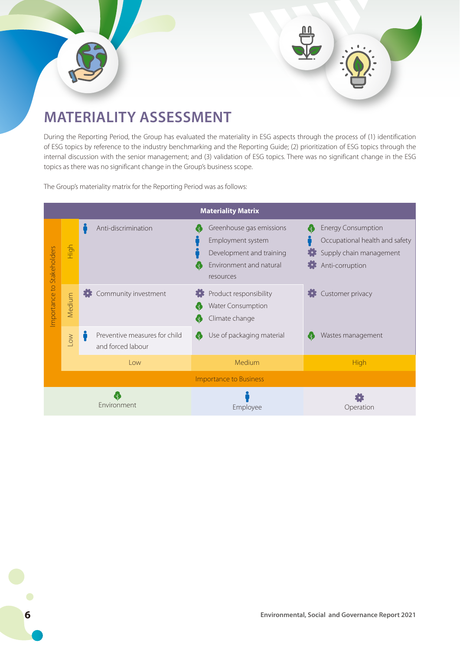



# **MATERIALITY ASSESSMENT**

During the Reporting Period, the Group has evaluated the materiality in ESG aspects through the process of (1) identification of ESG topics by reference to the industry benchmarking and the Reporting Guide; (2) prioritization of ESG topics through the internal discussion with the senior management; and (3) validation of ESG topics. There was no significant change in the ESG topics as there was no significant change in the Group's business scope.

The Group's materiality matrix for the Reporting Period was as follows:

|               |            |                                                    | <b>Materiality Matrix</b>                                                                                         |                                                                                                                         |
|---------------|------------|----------------------------------------------------|-------------------------------------------------------------------------------------------------------------------|-------------------------------------------------------------------------------------------------------------------------|
| Stakeholders  | High       | Anti-discrimination                                | Greenhouse gas emissions<br>Employment system<br>Development and training<br>Environment and natural<br>resources | <b>Energy Consumption</b><br>d.<br>Occupational health and safety<br>Supply chain management<br>E 23<br>Anti-corruption |
| Importance to | Medium     | Community investment                               | Product responsibility<br>Water Consumption<br>Climate change                                                     | Customer privacy                                                                                                        |
|               | <b>NOT</b> | Preventive measures for child<br>and forced labour | Use of packaging material                                                                                         | Wastes management                                                                                                       |
|               |            | Low                                                | Medium                                                                                                            | High                                                                                                                    |
|               |            |                                                    | <b>Importance to Business</b>                                                                                     |                                                                                                                         |
|               |            | Environment                                        | Employee                                                                                                          | Operation                                                                                                               |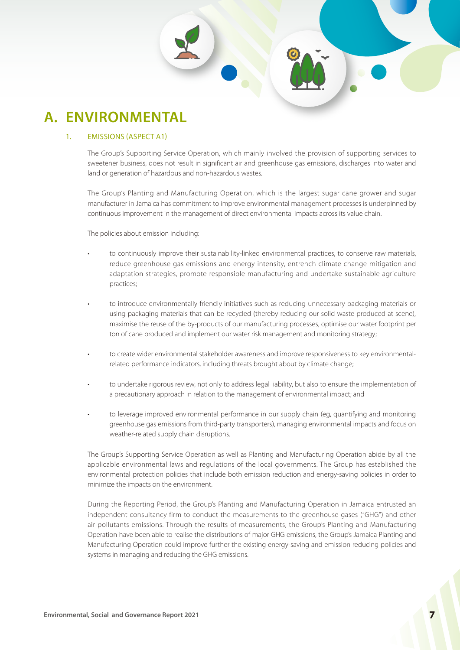# **A. ENVIRONMENTAL**

### 1. EMISSIONS (ASPECT A1)

The Group's Supporting Service Operation, which mainly involved the provision of supporting services to sweetener business, does not result in significant air and greenhouse gas emissions, discharges into water and land or generation of hazardous and non-hazardous wastes.

The Group's Planting and Manufacturing Operation, which is the largest sugar cane grower and sugar manufacturer in Jamaica has commitment to improve environmental management processes is underpinned by continuous improvement in the management of direct environmental impacts across its value chain.

The policies about emission including:

- to continuously improve their sustainability-linked environmental practices, to conserve raw materials, reduce greenhouse gas emissions and energy intensity, entrench climate change mitigation and adaptation strategies, promote responsible manufacturing and undertake sustainable agriculture practices;
- to introduce environmentally-friendly initiatives such as reducing unnecessary packaging materials or using packaging materials that can be recycled (thereby reducing our solid waste produced at scene), maximise the reuse of the by-products of our manufacturing processes, optimise our water footprint per ton of cane produced and implement our water risk management and monitoring strategy;
- to create wider environmental stakeholder awareness and improve responsiveness to key environmentalrelated performance indicators, including threats brought about by climate change;
- to undertake rigorous review, not only to address legal liability, but also to ensure the implementation of a precautionary approach in relation to the management of environmental impact; and
- to leverage improved environmental performance in our supply chain (eg, quantifying and monitoring greenhouse gas emissions from third-party transporters), managing environmental impacts and focus on weather-related supply chain disruptions.

The Group's Supporting Service Operation as well as Planting and Manufacturing Operation abide by all the applicable environmental laws and regulations of the local governments. The Group has established the environmental protection policies that include both emission reduction and energy-saving policies in order to minimize the impacts on the environment.

During the Reporting Period, the Group's Planting and Manufacturing Operation in Jamaica entrusted an independent consultancy firm to conduct the measurements to the greenhouse gases ("GHG") and other air pollutants emissions. Through the results of measurements, the Group's Planting and Manufacturing Operation have been able to realise the distributions of major GHG emissions, the Group's Jamaica Planting and Manufacturing Operation could improve further the existing energy-saving and emission reducing policies and systems in managing and reducing the GHG emissions.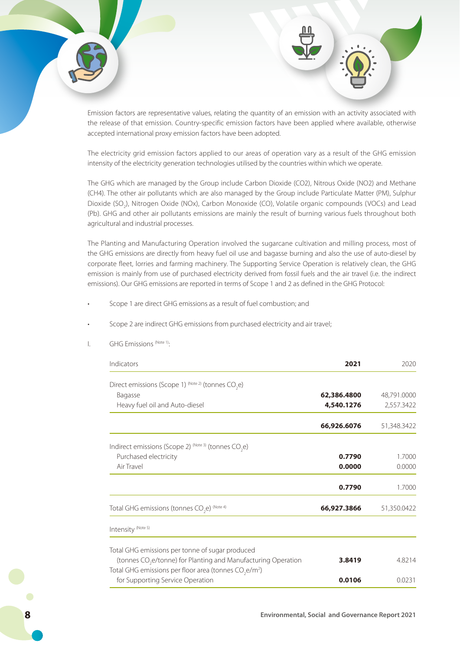

Emission factors are representative values, relating the quantity of an emission with an activity associated with the release of that emission. Country-specific emission factors have been applied where available, otherwise accepted international proxy emission factors have been adopted.

The electricity grid emission factors applied to our areas of operation vary as a result of the GHG emission intensity of the electricity generation technologies utilised by the countries within which we operate.

The GHG which are managed by the Group include Carbon Dioxide (CO2), Nitrous Oxide (NO2) and Methane (CH4). The other air pollutants which are also managed by the Group include Particulate Matter (PM), Sulphur Dioxide (SO<sub>2</sub>), Nitrogen Oxide (NOx), Carbon Monoxide (CO), Volatile organic compounds (VOCs) and Lead (Pb). GHG and other air pollutants emissions are mainly the result of burning various fuels throughout both agricultural and industrial processes.

The Planting and Manufacturing Operation involved the sugarcane cultivation and milling process, most of the GHG emissions are directly from heavy fuel oil use and bagasse burning and also the use of auto-diesel by corporate fleet, lorries and farming machinery. The Supporting Service Operation is relatively clean, the GHG emission is mainly from use of purchased electricity derived from fossil fuels and the air travel (i.e. the indirect emissions). Our GHG emissions are reported in terms of Scope 1 and 2 as defined in the GHG Protocol:

- Scope 1 are direct GHG emissions as a result of fuel combustion; and
- Scope 2 are indirect GHG emissions from purchased electricity and air travel;

| Indicators                                                                    | 2021        | 2020        |
|-------------------------------------------------------------------------------|-------------|-------------|
| Direct emissions (Scope 1) $^{(Note 2)}$ (tonnes CO <sub>2</sub> e)           |             |             |
| Bagasse                                                                       | 62,386.4800 | 48,791.0000 |
|                                                                               |             |             |
| Heavy fuel oil and Auto-diesel                                                | 4,540.1276  | 2,557.3422  |
|                                                                               | 66,926.6076 | 51,348.3422 |
| Indirect emissions (Scope 2) (Note 3) (tonnes CO <sub>2</sub> e)              |             |             |
| Purchased electricity                                                         | 0.7790      | 1.7000      |
| Air Travel                                                                    | 0.0000      | 0.0000      |
|                                                                               | 0.7790      | 1.7000      |
| Total GHG emissions (tonnes CO <sub>2</sub> e) <sup>(Note 4)</sup>            | 66,927.3866 | 51,350.0422 |
| Intensity (Note 5)                                                            |             |             |
| Total GHG emissions per tonne of sugar produced                               |             |             |
| (tonnes CO <sub>2</sub> e/tonne) for Planting and Manufacturing Operation     | 3.8419      | 4.8214      |
| Total GHG emissions per floor area (tonnes CO <sub>2</sub> e/m <sup>2</sup> ) |             |             |
| for Supporting Service Operation                                              | 0.0106      | 0.0231      |

I. GHG Emissions (Note 1):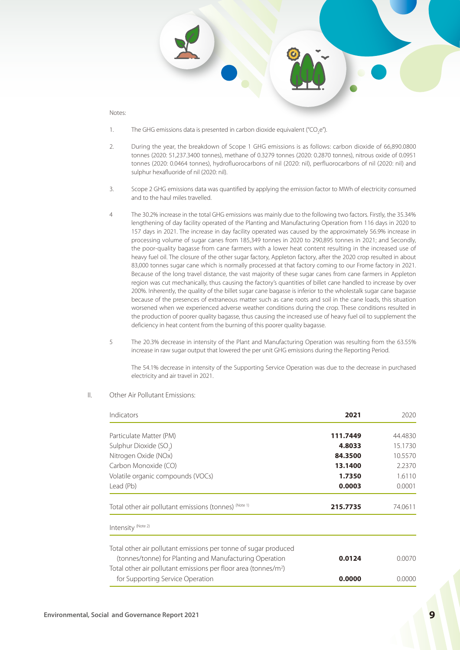- 1. The GHG emissions data is presented in carbon dioxide equivalent ("CO<sub>2</sub>e").
- 2. During the year, the breakdown of Scope 1 GHG emissions is as follows: carbon dioxide of 66,890.0800 tonnes (2020: 51,237.3400 tonnes), methane of 0.3279 tonnes (2020: 0.2870 tonnes), nitrous oxide of 0.0951 tonnes (2020: 0.0464 tonnes), hydrofluorocarbons of nil (2020: nil), perfluorocarbons of nil (2020: nil) and sulphur hexafluoride of nil (2020: nil).
- 3. Scope 2 GHG emissions data was quantified by applying the emission factor to MWh of electricity consumed and to the haul miles travelled.
- 4 The 30.2% increase in the total GHG emissions was mainly due to the following two factors. Firstly, the 35.34% lengthening of day facility operated of the Planting and Manufacturing Operation from 116 days in 2020 to 157 days in 2021. The increase in day facility operated was caused by the approximately 56.9% increase in processing volume of sugar canes from 185,349 tonnes in 2020 to 290,895 tonnes in 2021; and Secondly, the poor-quality bagasse from cane farmers with a lower heat content resulting in the increased use of heavy fuel oil. The closure of the other sugar factory, Appleton factory, after the 2020 crop resulted in about 83,000 tonnes sugar cane which is normally processed at that factory coming to our Frome factory in 2021. Because of the long travel distance, the vast majority of these sugar canes from cane farmers in Appleton region was cut mechanically, thus causing the factory's quantities of billet cane handled to increase by over 200%. Inherently, the quality of the billet sugar cane bagasse is inferior to the wholestalk sugar cane bagasse because of the presences of extraneous matter such as cane roots and soil in the cane loads, this situation worsened when we experienced adverse weather conditions during the crop. These conditions resulted in the production of poorer quality bagasse, thus causing the increased use of heavy fuel oil to supplement the deficiency in heat content from the burning of this poorer quality bagasse.
- 5 The 20.3% decrease in intensity of the Plant and Manufacturing Operation was resulting from the 63.55% increase in raw sugar output that lowered the per unit GHG emissions during the Reporting Period.

The 54.1% decrease in intensity of the Supporting Service Operation was due to the decrease in purchased electricity and air travel in 2021.

| Indicators                                                                                                                                                                                        | 2021     | 2020    |
|---------------------------------------------------------------------------------------------------------------------------------------------------------------------------------------------------|----------|---------|
| Particulate Matter (PM)                                                                                                                                                                           | 111.7449 | 44.4830 |
| Sulphur Dioxide (SO <sub>2</sub> )                                                                                                                                                                | 4.8033   | 15.1730 |
| Nitrogen Oxide (NOx)                                                                                                                                                                              | 84.3500  | 10.5570 |
| Carbon Monoxide (CO)                                                                                                                                                                              | 13.1400  | 2.2370  |
| Volatile organic compounds (VOCs)                                                                                                                                                                 | 1.7350   | 1.6110  |
| Lead (Pb)                                                                                                                                                                                         | 0.0003   | 0.0001  |
| Total other air pollutant emissions (tonnes) (Note 1)                                                                                                                                             | 215.7735 | 74.0611 |
| Intensity (Note 2)                                                                                                                                                                                |          |         |
| Total other air pollutant emissions per tonne of sugar produced<br>(tonnes/tonne) for Planting and Manufacturing Operation<br>Total other air pollutant emissions per floor area (tonnes/ $m^2$ ) | 0.0124   | 0.0070  |
| for Supporting Service Operation                                                                                                                                                                  | 0.0000   | 0.0000  |

II. Other Air Pollutant Emissions: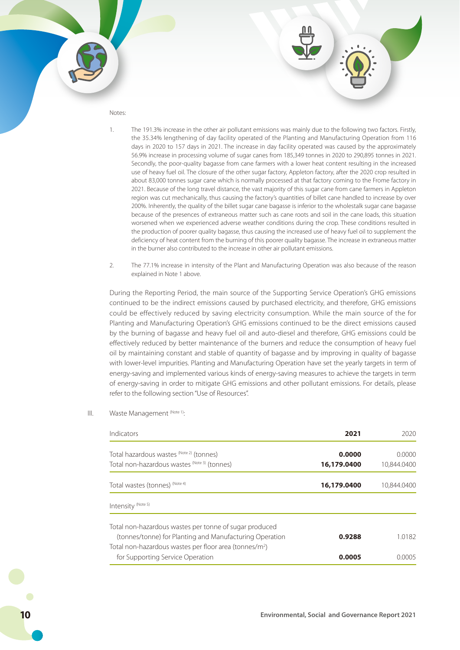- 1. The 191.3% increase in the other air pollutant emissions was mainly due to the following two factors. Firstly, the 35.34% lengthening of day facility operated of the Planting and Manufacturing Operation from 116 days in 2020 to 157 days in 2021. The increase in day facility operated was caused by the approximately 56.9% increase in processing volume of sugar canes from 185,349 tonnes in 2020 to 290,895 tonnes in 2021. Secondly, the poor-quality bagasse from cane farmers with a lower heat content resulting in the increased use of heavy fuel oil. The closure of the other sugar factory, Appleton factory, after the 2020 crop resulted in about 83,000 tonnes sugar cane which is normally processed at that factory coming to the Frome factory in 2021. Because of the long travel distance, the vast majority of this sugar cane from cane farmers in Appleton region was cut mechanically, thus causing the factory's quantities of billet cane handled to increase by over 200%. Inherently, the quality of the billet sugar cane bagasse is inferior to the wholestalk sugar cane bagasse because of the presences of extraneous matter such as cane roots and soil in the cane loads, this situation worsened when we experienced adverse weather conditions during the crop. These conditions resulted in the production of poorer quality bagasse, thus causing the increased use of heavy fuel oil to supplement the deficiency of heat content from the burning of this poorer quality bagasse. The increase in extraneous matter in the burner also contributed to the increase in other air pollutant emissions.
- 2. The 77.1% increase in intensity of the Plant and Manufacturing Operation was also because of the reason explained in Note 1 above.

During the Reporting Period, the main source of the Supporting Service Operation's GHG emissions continued to be the indirect emissions caused by purchased electricity, and therefore, GHG emissions could be effectively reduced by saving electricity consumption. While the main source of the for Planting and Manufacturing Operation's GHG emissions continued to be the direct emissions caused by the burning of bagasse and heavy fuel oil and auto-diesel and therefore, GHG emissions could be effectively reduced by better maintenance of the burners and reduce the consumption of heavy fuel oil by maintaining constant and stable of quantity of bagasse and by improving in quality of bagasse with lower-level impurities. Planting and Manufacturing Operation have set the yearly targets in term of energy-saving and implemented various kinds of energy-saving measures to achieve the targets in term of energy-saving in order to mitigate GHG emissions and other pollutant emissions. For details, please refer to the following section "Use of Resources".

III. Waste Management (Note 1):

| Indicators                                                                                             | 2021        | 2020        |
|--------------------------------------------------------------------------------------------------------|-------------|-------------|
| Total hazardous wastes (Note 2) (tonnes)                                                               | 0.0000      | 0.0000      |
| Total non-hazardous wastes (Note 3) (tonnes)                                                           | 16,179.0400 | 10.844.0400 |
| Total wastes (tonnes) (Note 4)                                                                         | 16,179,0400 | 10.844.0400 |
| Intensity (Note 5)                                                                                     |             |             |
| Total non-hazardous wastes per tonne of sugar produced                                                 |             |             |
| (tonnes/tonne) for Planting and Manufacturing Operation                                                | 0.9288      | 10182       |
| Total non-hazardous wastes per floor area (tonnes/m <sup>2</sup> )<br>for Supporting Service Operation | 0.0005      | N NNN5      |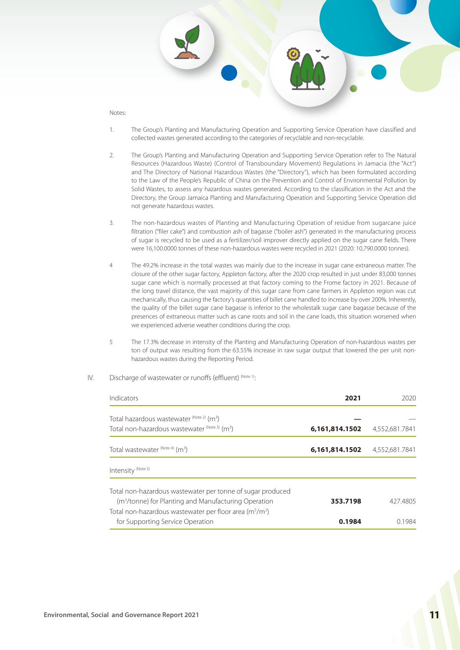- 1. The Group's Planting and Manufacturing Operation and Supporting Service Operation have classified and collected wastes generated according to the categories of recyclable and non-recyclable.
- 2. The Group's Planting and Manufacturing Operation and Supporting Service Operation refer to The Natural Resources (Hazardous Waste) (Control of Transboundary Movement) Regulations in Jamacia (the "Act") and The Directory of National Hazardous Wastes (the "Directory"), which has been formulated according to the Law of the People's Republic of China on the Prevention and Control of Environmental Pollution by Solid Wastes, to assess any hazardous wastes generated. According to the classification in the Act and the Directory, the Group Jamaica Planting and Manufacturing Operation and Supporting Service Operation did not generate hazardous wastes.
- 3. The non-hazardous wastes of Planting and Manufacturing Operation of residue from sugarcane juice filtration ("filer cake") and combustion ash of bagasse ("boiler ash") generated in the manufacturing process of sugar is recycled to be used as a fertilizer/soil improver directly applied on the sugar cane fields. There were 16,100.0000 tonnes of these non-hazardous wastes were recycled in 2021 (2020: 10,790.0000 tonnes).
- 4 The 49.2% increase in the total wastes was mainly due to the increase in sugar cane extraneous matter. The closure of the other sugar factory, Appleton factory, after the 2020 crop resulted in just under 83,000 tonnes sugar cane which is normally processed at that factory coming to the Frome factory in 2021. Because of the long travel distance, the vast majority of this sugar cane from cane farmers in Appleton region was cut mechanically, thus causing the factory's quantities of billet cane handled to increase by over 200%. Inherently, the quality of the billet sugar cane bagasse is inferior to the wholestalk sugar cane bagasse because of the presences of extraneous matter such as cane roots and soil in the cane loads, this situation worsened when we experienced adverse weather conditions during the crop.
- 5 The 17.3% decrease in intensity of the Planting and Manufacturing Operation of non-hazardous wastes per ton of output was resulting from the 63.55% increase in raw sugar output that lowered the per unit nonhazardous wastes during the Reporting Period.
- IV. Discharge of wastewater or runoffs (effluent) (Note 1):

| Indicators                                                                                                                     | 2021           | 2020.          |
|--------------------------------------------------------------------------------------------------------------------------------|----------------|----------------|
| Total hazardous wastewater $^{(Note 2)}$ (m <sup>3</sup> )                                                                     |                |                |
| Total non-hazardous wastewater (Note 3) (m <sup>3</sup> )                                                                      | 6,161,814.1502 | 4,552,681.7841 |
| Total wastewater (Note 4) (m <sup>3</sup> )                                                                                    | 6,161,814.1502 | 4,552,681.7841 |
| Intensity <sup>(Note 5)</sup>                                                                                                  |                |                |
| Total non-hazardous wastewater per tonne of sugar produced<br>(m <sup>3</sup> /tonne) for Planting and Manufacturing Operation | 353.7198       | 427.4805       |
| Total non-hazardous wastewater per floor area $(m^3/m^2)$<br>for Supporting Service Operation                                  | 0.1984         | 0.1984         |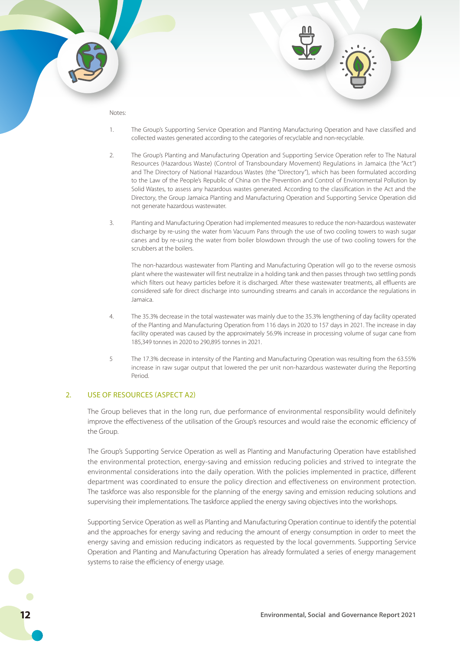- 1. The Group's Supporting Service Operation and Planting Manufacturing Operation and have classified and collected wastes generated according to the categories of recyclable and non-recyclable.
- 2. The Group's Planting and Manufacturing Operation and Supporting Service Operation refer to The Natural Resources (Hazardous Waste) (Control of Transboundary Movement) Regulations in Jamaica (the "Act") and The Directory of National Hazardous Wastes (the "Directory"), which has been formulated according to the Law of the People's Republic of China on the Prevention and Control of Environmental Pollution by Solid Wastes, to assess any hazardous wastes generated. According to the classification in the Act and the Directory, the Group Jamaica Planting and Manufacturing Operation and Supporting Service Operation did not generate hazardous wastewater.
- 3. Planting and Manufacturing Operation had implemented measures to reduce the non-hazardous wastewater discharge by re-using the water from Vacuum Pans through the use of two cooling towers to wash sugar canes and by re-using the water from boiler blowdown through the use of two cooling towers for the scrubbers at the boilers.

The non-hazardous wastewater from Planting and Manufacturing Operation will go to the reverse osmosis plant where the wastewater will first neutralize in a holding tank and then passes through two settling ponds which filters out heavy particles before it is discharged. After these wastewater treatments, all effluents are considered safe for direct discharge into surrounding streams and canals in accordance the regulations in Jamaica.

- 4. The 35.3% decrease in the total wastewater was mainly due to the 35.3% lengthening of day facility operated of the Planting and Manufacturing Operation from 116 days in 2020 to 157 days in 2021. The increase in day facility operated was caused by the approximately 56.9% increase in processing volume of sugar cane from 185,349 tonnes in 2020 to 290,895 tonnes in 2021.
- 5 The 17.3% decrease in intensity of the Planting and Manufacturing Operation was resulting from the 63.55% increase in raw sugar output that lowered the per unit non-hazardous wastewater during the Reporting Period.

#### 2. USE OF RESOURCES (ASPECT A2)

The Group believes that in the long run, due performance of environmental responsibility would definitely improve the effectiveness of the utilisation of the Group's resources and would raise the economic efficiency of the Group.

The Group's Supporting Service Operation as well as Planting and Manufacturing Operation have established the environmental protection, energy-saving and emission reducing policies and strived to integrate the environmental considerations into the daily operation. With the policies implemented in practice, different department was coordinated to ensure the policy direction and effectiveness on environment protection. The taskforce was also responsible for the planning of the energy saving and emission reducing solutions and supervising their implementations. The taskforce applied the energy saving objectives into the workshops.

Supporting Service Operation as well as Planting and Manufacturing Operation continue to identify the potential and the approaches for energy saving and reducing the amount of energy consumption in order to meet the energy saving and emission reducing indicators as requested by the local governments. Supporting Service Operation and Planting and Manufacturing Operation has already formulated a series of energy management systems to raise the efficiency of energy usage.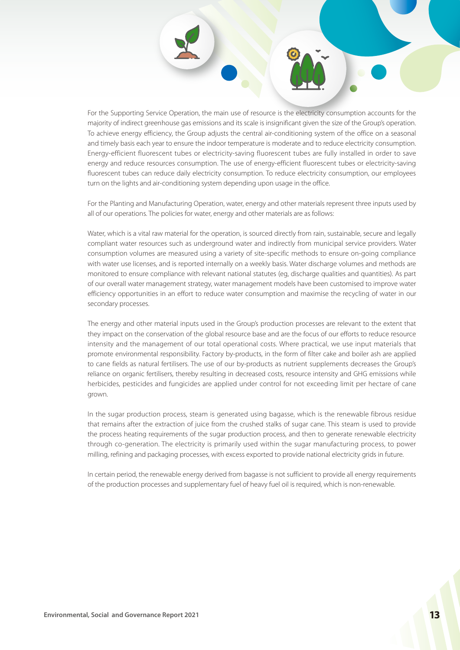For the Supporting Service Operation, the main use of resource is the electricity consumption accounts for the majority of indirect greenhouse gas emissions and its scale is insignificant given the size of the Group's operation. To achieve energy efficiency, the Group adjusts the central air-conditioning system of the office on a seasonal and timely basis each year to ensure the indoor temperature is moderate and to reduce electricity consumption. Energy-efficient fluorescent tubes or electricity-saving fluorescent tubes are fully installed in order to save energy and reduce resources consumption. The use of energy-efficient fluorescent tubes or electricity-saving fluorescent tubes can reduce daily electricity consumption. To reduce electricity consumption, our employees turn on the lights and air-conditioning system depending upon usage in the office.

For the Planting and Manufacturing Operation, water, energy and other materials represent three inputs used by all of our operations. The policies for water, energy and other materials are as follows:

Water, which is a vital raw material for the operation, is sourced directly from rain, sustainable, secure and legally compliant water resources such as underground water and indirectly from municipal service providers. Water consumption volumes are measured using a variety of site-specific methods to ensure on-going compliance with water use licenses, and is reported internally on a weekly basis. Water discharge volumes and methods are monitored to ensure compliance with relevant national statutes (eg, discharge qualities and quantities). As part of our overall water management strategy, water management models have been customised to improve water efficiency opportunities in an effort to reduce water consumption and maximise the recycling of water in our secondary processes.

The energy and other material inputs used in the Group's production processes are relevant to the extent that they impact on the conservation of the global resource base and are the focus of our efforts to reduce resource intensity and the management of our total operational costs. Where practical, we use input materials that promote environmental responsibility. Factory by-products, in the form of filter cake and boiler ash are applied to cane fields as natural fertilisers. The use of our by-products as nutrient supplements decreases the Group's reliance on organic fertilisers, thereby resulting in decreased costs, resource intensity and GHG emissions while herbicides, pesticides and fungicides are applied under control for not exceeding limit per hectare of cane grown.

In the sugar production process, steam is generated using bagasse, which is the renewable fibrous residue that remains after the extraction of juice from the crushed stalks of sugar cane. This steam is used to provide the process heating requirements of the sugar production process, and then to generate renewable electricity through co-generation. The electricity is primarily used within the sugar manufacturing process, to power milling, refining and packaging processes, with excess exported to provide national electricity grids in future.

In certain period, the renewable energy derived from bagasse is not sufficient to provide all energy requirements of the production processes and supplementary fuel of heavy fuel oil is required, which is non-renewable.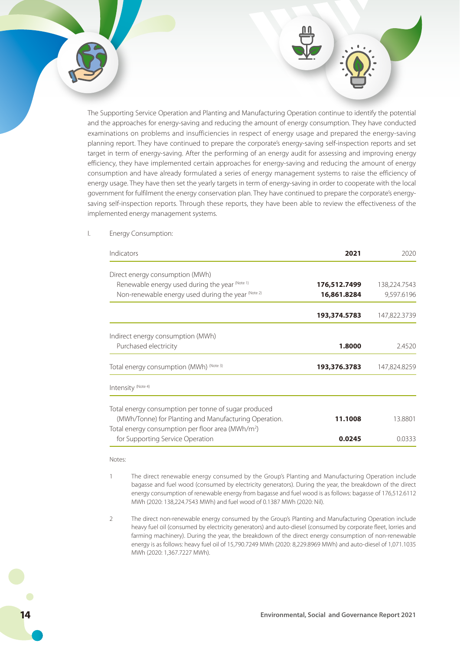The Supporting Service Operation and Planting and Manufacturing Operation continue to identify the potential and the approaches for energy-saving and reducing the amount of energy consumption. They have conducted examinations on problems and insufficiencies in respect of energy usage and prepared the energy-saving planning report. They have continued to prepare the corporate's energy-saving self-inspection reports and set target in term of energy-saving. After the performing of an energy audit for assessing and improving energy efficiency, they have implemented certain approaches for energy-saving and reducing the amount of energy consumption and have already formulated a series of energy management systems to raise the efficiency of energy usage. They have then set the yearly targets in term of energy-saving in order to cooperate with the local government for fulfilment the energy conservation plan. They have continued to prepare the corporate's energysaving self-inspection reports. Through these reports, they have been able to review the effectiveness of the implemented energy management systems.

| Indicators                                                    | 2021         | 2020         |
|---------------------------------------------------------------|--------------|--------------|
| Direct energy consumption (MWh)                               |              |              |
| Renewable energy used during the year (Note 1)                | 176,512.7499 | 138,224.7543 |
| Non-renewable energy used during the year (Note 2)            | 16,861.8284  | 9,597.6196   |
|                                                               | 193,374.5783 | 147,822.3739 |
| Indirect energy consumption (MWh)                             |              |              |
| Purchased electricity                                         | 1.8000       | 2.4520       |
| Total energy consumption (MWh) (Note 3)                       | 193,376.3783 | 147,824.8259 |
| Intensity (Note 4)                                            |              |              |
| Total energy consumption per tonne of sugar produced          |              |              |
| (MWh/Tonne) for Planting and Manufacturing Operation.         | 11.1008      | 13.8801      |
| Total energy consumption per floor area (MWh/m <sup>2</sup> ) |              |              |
| for Supporting Service Operation                              | 0.0245       | 0.0333       |

#### I. Energy Consumption:

#### Notes:

- 1 The direct renewable energy consumed by the Group's Planting and Manufacturing Operation include bagasse and fuel wood (consumed by electricity generators). During the year, the breakdown of the direct energy consumption of renewable energy from bagasse and fuel wood is as follows: bagasse of 176,512.6112 MWh (2020: 138,224.7543 MWh) and fuel wood of 0.1387 MWh (2020: Nil).
- 2 The direct non-renewable energy consumed by the Group's Planting and Manufacturing Operation include heavy fuel oil (consumed by electricity generators) and auto-diesel (consumed by corporate fleet, lorries and farming machinery). During the year, the breakdown of the direct energy consumption of non-renewable energy is as follows: heavy fuel oil of 15,790.7249 MWh (2020: 8,229.8969 MWh) and auto-diesel of 1,071.1035 MWh (2020: 1,367.7227 MWh).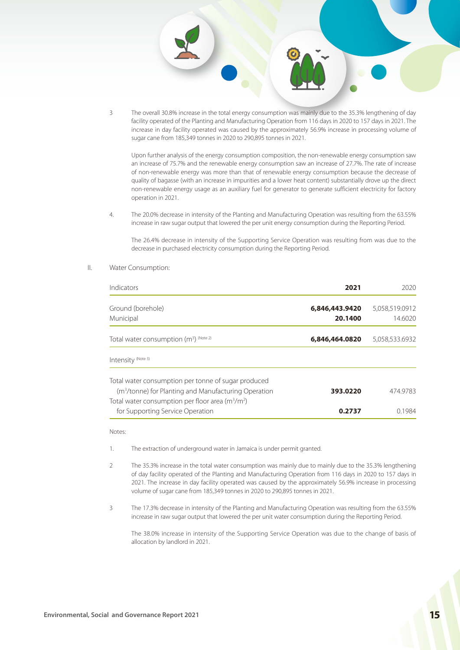

Upon further analysis of the energy consumption composition, the non-renewable energy consumption saw an increase of 75.7% and the renewable energy consumption saw an increase of 27.7%. The rate of increase of non-renewable energy was more than that of renewable energy consumption because the decrease of quality of bagasse (with an increase in impurities and a lower heat content) substantially drove up the direct non-renewable energy usage as an auxiliary fuel for generator to generate sufficient electricity for factory operation in 2021.

4. The 20.0% decrease in intensity of the Planting and Manufacturing Operation was resulting from the 63.55% increase in raw sugar output that lowered the per unit energy consumption during the Reporting Period.

The 26.4% decrease in intensity of the Supporting Service Operation was resulting from was due to the decrease in purchased electricity consumption during the Reporting Period.

II. Water Consumption:

| Indicators                                                                                                                                                                    | 2021                      | 2020                      |
|-------------------------------------------------------------------------------------------------------------------------------------------------------------------------------|---------------------------|---------------------------|
| Ground (borehole)<br>Municipal                                                                                                                                                | 6,846,443.9420<br>20.1400 | 5,058,519.0912<br>14.6020 |
| Total water consumption $(m^3)$ (Note 2)                                                                                                                                      | 6,846,464.0820            | 5,058,533.6932            |
| Intensity (Note 3)                                                                                                                                                            |                           |                           |
| Total water consumption per tonne of sugar produced<br>(m <sup>3</sup> /tonne) for Planting and Manufacturing Operation<br>Total water consumption per floor area $(m^3/m^2)$ | 393.0220                  | 474.9783                  |
| for Supporting Service Operation                                                                                                                                              | 0.2737                    | 01984                     |

Notes:

- 1. The extraction of underground water in Jamaica is under permit granted.
- 2 The 35.3% increase in the total water consumption was mainly due to mainly due to the 35.3% lengthening of day facility operated of the Planting and Manufacturing Operation from 116 days in 2020 to 157 days in 2021. The increase in day facility operated was caused by the approximately 56.9% increase in processing volume of sugar cane from 185,349 tonnes in 2020 to 290,895 tonnes in 2021.
- 3 The 17.3% decrease in intensity of the Planting and Manufacturing Operation was resulting from the 63.55% increase in raw sugar output that lowered the per unit water consumption during the Reporting Period.

The 38.0% increase in intensity of the Supporting Service Operation was due to the change of basis of allocation by landlord in 2021.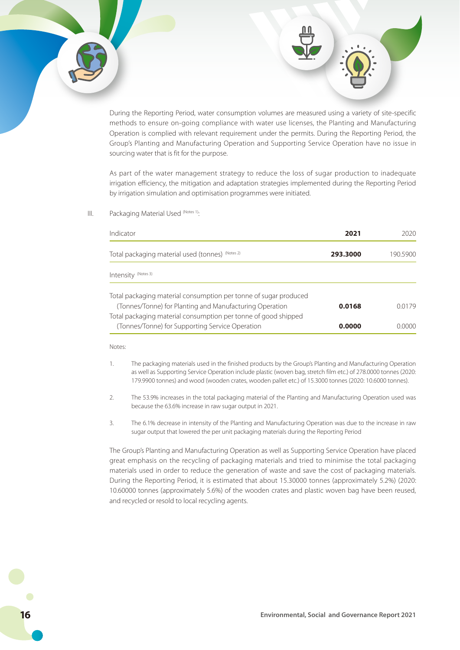During the Reporting Period, water consumption volumes are measured using a variety of site-specific methods to ensure on-going compliance with water use licenses, the Planting and Manufacturing Operation is complied with relevant requirement under the permits. During the Reporting Period, the Group's Planting and Manufacturing Operation and Supporting Service Operation have no issue in sourcing water that is fit for the purpose.

As part of the water management strategy to reduce the loss of sugar production to inadequate irrigation efficiency, the mitigation and adaptation strategies implemented during the Reporting Period by irrigation simulation and optimisation programmes were initiated.

III. Packaging Material Used (Notes 1):

| Indicator                                                                                                                 | 2021     | 2020          |
|---------------------------------------------------------------------------------------------------------------------------|----------|---------------|
| Total packaging material used (tonnes) (Notes 2)                                                                          | 293.3000 | 190.5900      |
| Intensity <sup>(Notes 3)</sup>                                                                                            |          |               |
| Total packaging material consumption per tonne of sugar produced                                                          |          |               |
| (Tonnes/Tonne) for Planting and Manufacturing Operation<br>Total packaging material consumption per tonne of good shipped | 0.0168   | 00179         |
| (Tonnes/Tonne) for Supporting Service Operation                                                                           | 0.0000   | <u>N 0000</u> |

Notes:

- 1. The packaging materials used in the finished products by the Group's Planting and Manufacturing Operation as well as Supporting Service Operation include plastic (woven bag, stretch film etc.) of 278.0000 tonnes (2020: 179.9900 tonnes) and wood (wooden crates, wooden pallet etc.) of 15.3000 tonnes (2020: 10.6000 tonnes).
- 2. The 53.9% increases in the total packaging material of the Planting and Manufacturing Operation used was because the 63.6% increase in raw sugar output in 2021.
- 3. The 6.1% decrease in intensity of the Planting and Manufacturing Operation was due to the increase in raw sugar output that lowered the per unit packaging materials during the Reporting Period

The Group's Planting and Manufacturing Operation as well as Supporting Service Operation have placed great emphasis on the recycling of packaging materials and tried to minimise the total packaging materials used in order to reduce the generation of waste and save the cost of packaging materials. During the Reporting Period, it is estimated that about 15.30000 tonnes (approximately 5.2%) (2020: 10.60000 tonnes (approximately 5.6%) of the wooden crates and plastic woven bag have been reused, and recycled or resold to local recycling agents.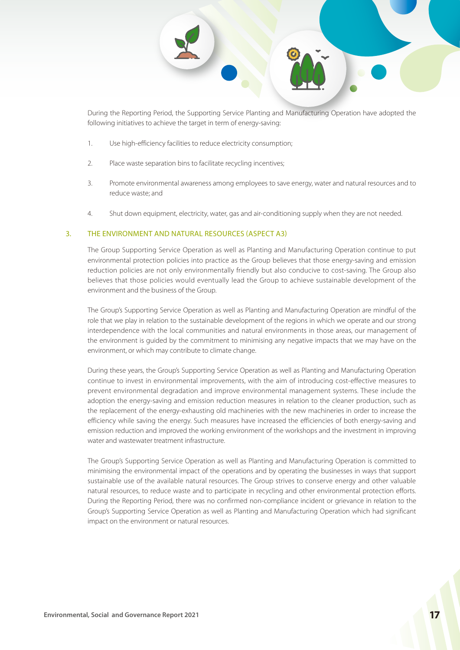

During the Reporting Period, the Supporting Service Planting and Manufacturing Operation have adopted the following initiatives to achieve the target in term of energy-saving:

- 1. Use high-efficiency facilities to reduce electricity consumption;
- 2. Place waste separation bins to facilitate recycling incentives;
- 3. Promote environmental awareness among employees to save energy, water and natural resources and to reduce waste; and
- 4. Shut down equipment, electricity, water, gas and air-conditioning supply when they are not needed.

#### 3. THE ENVIRONMENT AND NATURAL RESOURCES (ASPECT A3)

The Group Supporting Service Operation as well as Planting and Manufacturing Operation continue to put environmental protection policies into practice as the Group believes that those energy-saving and emission reduction policies are not only environmentally friendly but also conducive to cost-saving. The Group also believes that those policies would eventually lead the Group to achieve sustainable development of the environment and the business of the Group.

The Group's Supporting Service Operation as well as Planting and Manufacturing Operation are mindful of the role that we play in relation to the sustainable development of the regions in which we operate and our strong interdependence with the local communities and natural environments in those areas, our management of the environment is guided by the commitment to minimising any negative impacts that we may have on the environment, or which may contribute to climate change.

During these years, the Group's Supporting Service Operation as well as Planting and Manufacturing Operation continue to invest in environmental improvements, with the aim of introducing cost-effective measures to prevent environmental degradation and improve environmental management systems. These include the adoption the energy-saving and emission reduction measures in relation to the cleaner production, such as the replacement of the energy-exhausting old machineries with the new machineries in order to increase the efficiency while saving the energy. Such measures have increased the efficiencies of both energy-saving and emission reduction and improved the working environment of the workshops and the investment in improving water and wastewater treatment infrastructure.

The Group's Supporting Service Operation as well as Planting and Manufacturing Operation is committed to minimising the environmental impact of the operations and by operating the businesses in ways that support sustainable use of the available natural resources. The Group strives to conserve energy and other valuable natural resources, to reduce waste and to participate in recycling and other environmental protection efforts. During the Reporting Period, there was no confirmed non-compliance incident or grievance in relation to the Group's Supporting Service Operation as well as Planting and Manufacturing Operation which had significant impact on the environment or natural resources.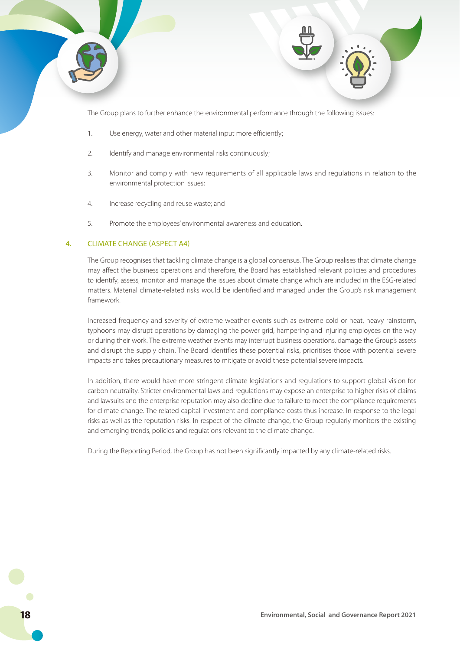

The Group plans to further enhance the environmental performance through the following issues:

- 1. Use energy, water and other material input more efficiently;
- 2. Identify and manage environmental risks continuously;
- 3. Monitor and comply with new requirements of all applicable laws and regulations in relation to the environmental protection issues;
- 4. Increase recycling and reuse waste; and
- 5. Promote the employees' environmental awareness and education.

### 4. CLIMATE CHANGE (ASPECT A4)

The Group recognises that tackling climate change is a global consensus. The Group realises that climate change may affect the business operations and therefore, the Board has established relevant policies and procedures to identify, assess, monitor and manage the issues about climate change which are included in the ESG-related matters. Material climate-related risks would be identified and managed under the Group's risk management framework.

Increased frequency and severity of extreme weather events such as extreme cold or heat, heavy rainstorm, typhoons may disrupt operations by damaging the power grid, hampering and injuring employees on the way or during their work. The extreme weather events may interrupt business operations, damage the Group's assets and disrupt the supply chain. The Board identifies these potential risks, prioritises those with potential severe impacts and takes precautionary measures to mitigate or avoid these potential severe impacts.

In addition, there would have more stringent climate legislations and regulations to support global vision for carbon neutrality. Stricter environmental laws and regulations may expose an enterprise to higher risks of claims and lawsuits and the enterprise reputation may also decline due to failure to meet the compliance requirements for climate change. The related capital investment and compliance costs thus increase. In response to the legal risks as well as the reputation risks. In respect of the climate change, the Group regularly monitors the existing and emerging trends, policies and regulations relevant to the climate change.

During the Reporting Period, the Group has not been significantly impacted by any climate-related risks.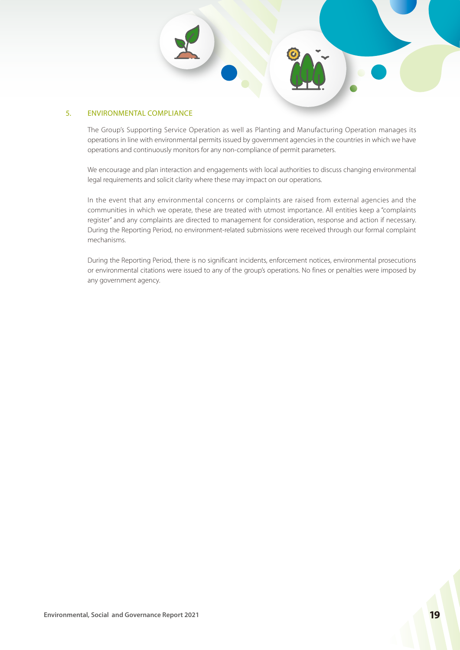#### 5. ENVIRONMENTAL COMPLIANCE

The Group's Supporting Service Operation as well as Planting and Manufacturing Operation manages its operations in line with environmental permits issued by government agencies in the countries in which we have operations and continuously monitors for any non-compliance of permit parameters.

We encourage and plan interaction and engagements with local authorities to discuss changing environmental legal requirements and solicit clarity where these may impact on our operations.

In the event that any environmental concerns or complaints are raised from external agencies and the communities in which we operate, these are treated with utmost importance. All entities keep a "complaints register" and any complaints are directed to management for consideration, response and action if necessary. During the Reporting Period, no environment-related submissions were received through our formal complaint mechanisms.

During the Reporting Period, there is no significant incidents, enforcement notices, environmental prosecutions or environmental citations were issued to any of the group's operations. No fines or penalties were imposed by any government agency.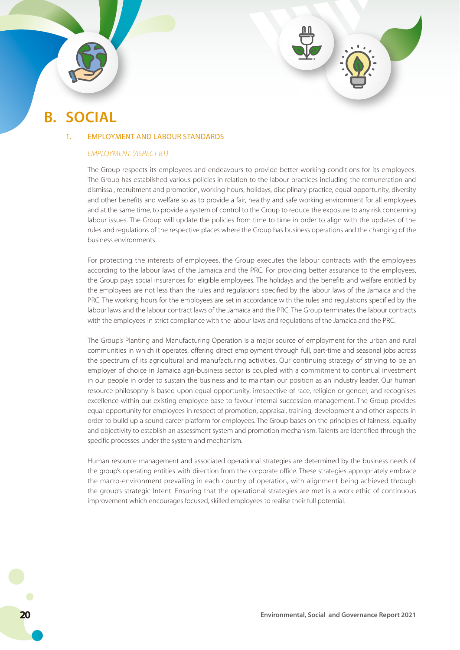# **B. SOCIAL**

#### 1. EMPLOYMENT AND LABOUR STANDARDS

#### *EMPLOYMENT (ASPECT B1)*

The Group respects its employees and endeavours to provide better working conditions for its employees. The Group has established various policies in relation to the labour practices including the remuneration and dismissal, recruitment and promotion, working hours, holidays, disciplinary practice, equal opportunity, diversity and other benefits and welfare so as to provide a fair, healthy and safe working environment for all employees and at the same time, to provide a system of control to the Group to reduce the exposure to any risk concerning labour issues. The Group will update the policies from time to time in order to align with the updates of the rules and regulations of the respective places where the Group has business operations and the changing of the business environments.

For protecting the interests of employees, the Group executes the labour contracts with the employees according to the labour laws of the Jamaica and the PRC. For providing better assurance to the employees, the Group pays social insurances for eligible employees. The holidays and the benefits and welfare entitled by the employees are not less than the rules and regulations specified by the labour laws of the Jamaica and the PRC. The working hours for the employees are set in accordance with the rules and regulations specified by the labour laws and the labour contract laws of the Jamaica and the PRC. The Group terminates the labour contracts with the employees in strict compliance with the labour laws and regulations of the Jamaica and the PRC.

The Group's Planting and Manufacturing Operation is a major source of employment for the urban and rural communities in which it operates, offering direct employment through full, part-time and seasonal jobs across the spectrum of its agricultural and manufacturing activities. Our continuing strategy of striving to be an employer of choice in Jamaica agri-business sector is coupled with a commitment to continual investment in our people in order to sustain the business and to maintain our position as an industry leader. Our human resource philosophy is based upon equal opportunity, irrespective of race, religion or gender, and recognises excellence within our existing employee base to favour internal succession management. The Group provides equal opportunity for employees in respect of promotion, appraisal, training, development and other aspects in order to build up a sound career platform for employees. The Group bases on the principles of fairness, equality and objectivity to establish an assessment system and promotion mechanism. Talents are identified through the specific processes under the system and mechanism.

Human resource management and associated operational strategies are determined by the business needs of the group's operating entities with direction from the corporate office. These strategies appropriately embrace the macro-environment prevailing in each country of operation, with alignment being achieved through the group's strategic Intent. Ensuring that the operational strategies are met is a work ethic of continuous improvement which encourages focused, skilled employees to realise their full potential.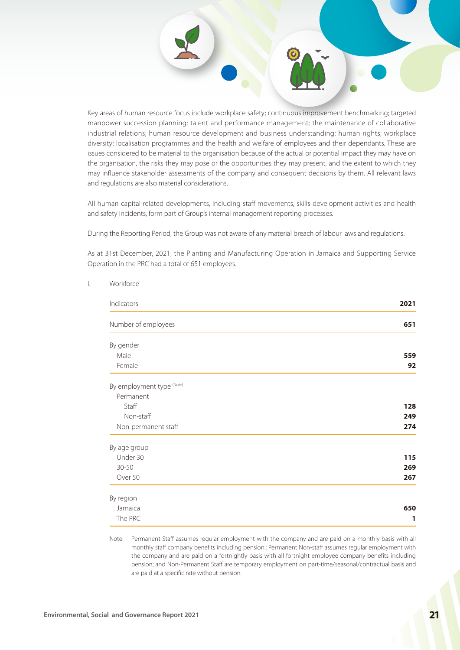Key areas of human resource focus include workplace safety; continuous improvement benchmarking; targeted manpower succession planning; talent and performance management; the maintenance of collaborative industrial relations; human resource development and business understanding; human rights; workplace diversity; localisation programmes and the health and welfare of employees and their dependants. These are issues considered to be material to the organisation because of the actual or potential impact they may have on the organisation, the risks they may pose or the opportunities they may present, and the extent to which they may influence stakeholder assessments of the company and consequent decisions by them. All relevant laws and regulations are also material considerations.

All human capital-related developments, including staff movements, skills development activities and health and safety incidents, form part of Group's internal management reporting processes.

During the Reporting Period, the Group was not aware of any material breach of labour laws and regulations.

As at 31st December, 2021, the Planting and Manufacturing Operation in Jamaica and Supporting Service Operation in the PRC had a total of 651 employees.

| Indicators                | 2021 |
|---------------------------|------|
| Number of employees       | 651  |
|                           |      |
| By gender                 |      |
| Male                      | 559  |
| Female                    | 92   |
| By employment type (Note) |      |
| Permanent                 |      |
| Staff                     | 128  |
| Non-staff                 | 249  |
|                           | 274  |
| Non-permanent staff       |      |
| By age group              |      |
| Under 30                  | 115  |
| $30 - 50$                 | 269  |
| Over 50                   | 267  |
| By region                 |      |
| Jamaica                   | 650  |
| The PRC                   | 1    |

I. Workforce

Note: Permanent Staff assumes regular employment with the company and are paid on a monthly basis with all monthly staff company benefits including pension.; Permanent Non-staff assumes regular employment with the company and are paid on a fortnightly basis with all fortnight employee company benefits including pension; and Non-Permanent Staff are temporary employment on part-time/seasonal/contractual basis and are paid at a specific rate without pension.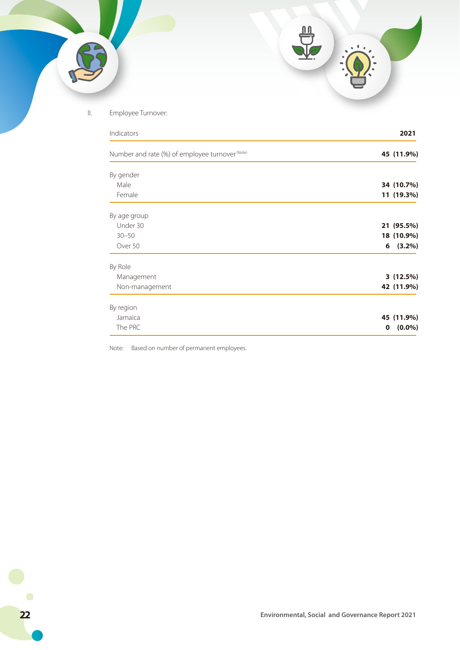## II. Employee Turnover:

| Indicators                                      | 2021                     |
|-------------------------------------------------|--------------------------|
| Number and rate (%) of employee turnover (Note) | 45 (11.9%)               |
| By gender                                       |                          |
| Male                                            | 34 (10.7%)               |
| Female                                          | 11 (19.3%)               |
| By age group                                    |                          |
| Under 30                                        | 21 (95.5%)               |
| $30 - 50$                                       | 18 (10.9%)               |
| Over 50                                         | (3.2%)<br>6              |
| By Role                                         |                          |
| Management                                      | 3(12.5%)                 |
| Non-management                                  | 42 (11.9%)               |
| By region                                       |                          |
| Jamaica                                         | 45 (11.9%)               |
| The PRC                                         | $(0.0\%)$<br>$\mathbf 0$ |

Note: Based on number of permanent employees.

 $\bullet$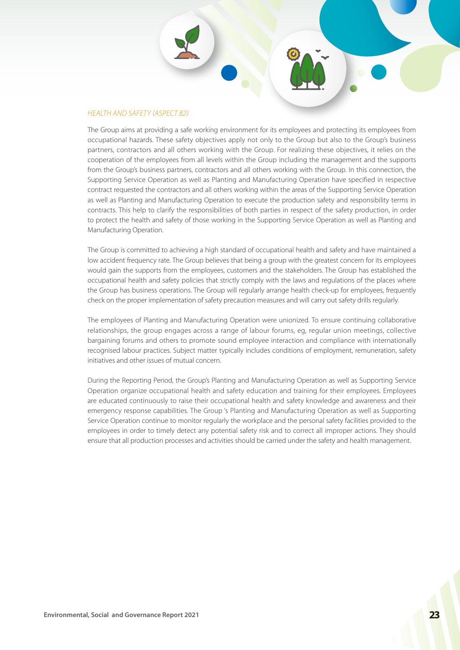#### *HEALTH AND SAFETY (ASPECT B2)*

The Group aims at providing a safe working environment for its employees and protecting its employees from occupational hazards. These safety objectives apply not only to the Group but also to the Group's business partners, contractors and all others working with the Group. For realizing these objectives, it relies on the cooperation of the employees from all levels within the Group including the management and the supports from the Group's business partners, contractors and all others working with the Group. In this connection, the Supporting Service Operation as well as Planting and Manufacturing Operation have specified in respective contract requested the contractors and all others working within the areas of the Supporting Service Operation as well as Planting and Manufacturing Operation to execute the production safety and responsibility terms in contracts. This help to clarify the responsibilities of both parties in respect of the safety production, in order to protect the health and safety of those working in the Supporting Service Operation as well as Planting and Manufacturing Operation.

The Group is committed to achieving a high standard of occupational health and safety and have maintained a low accident frequency rate. The Group believes that being a group with the greatest concern for its employees would gain the supports from the employees, customers and the stakeholders. The Group has established the occupational health and safety policies that strictly comply with the laws and regulations of the places where the Group has business operations. The Group will regularly arrange health check-up for employees, frequently check on the proper implementation of safety precaution measures and will carry out safety drills regularly.

The employees of Planting and Manufacturing Operation were unionized. To ensure continuing collaborative relationships, the group engages across a range of labour forums, eg, regular union meetings, collective bargaining forums and others to promote sound employee interaction and compliance with internationally recognised labour practices. Subject matter typically includes conditions of employment, remuneration, safety initiatives and other issues of mutual concern.

During the Reporting Period, the Group's Planting and Manufacturing Operation as well as Supporting Service Operation organize occupational health and safety education and training for their employees. Employees are educated continuously to raise their occupational health and safety knowledge and awareness and their emergency response capabilities. The Group 's Planting and Manufacturing Operation as well as Supporting Service Operation continue to monitor regularly the workplace and the personal safety facilities provided to the employees in order to timely detect any potential safety risk and to correct all improper actions. They should ensure that all production processes and activities should be carried under the safety and health management.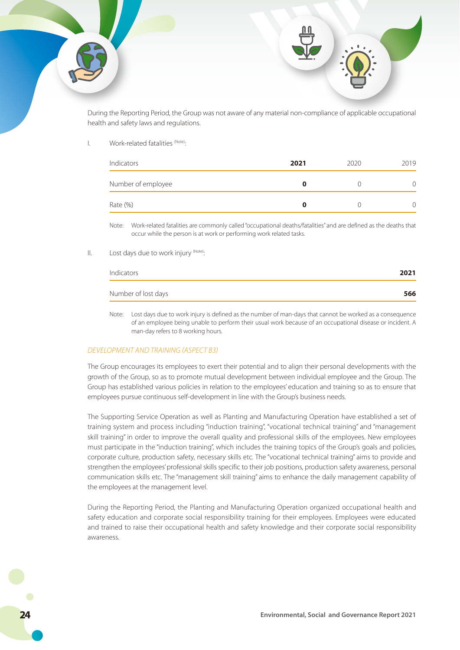During the Reporting Period, the Group was not aware of any material non-compliance of applicable occupational health and safety laws and regulations.

#### I. Work-related fatalities (Note):

| Indicators         | 2021 | 2020 | 2019 |
|--------------------|------|------|------|
| Number of employee |      |      |      |
| Rate (%)           |      |      |      |

Note: Work-related fatalities are commonly called "occupational deaths/fatalities" and are defined as the deaths that occur while the person is at work or performing work related tasks.

#### II. Lost days due to work injury (Note):

| Indicators          | 2021 |
|---------------------|------|
| Number of lost days | 566  |

Note: Lost days due to work injury is defined as the number of man-days that cannot be worked as a consequence of an employee being unable to perform their usual work because of an occupational disease or incident. A man-day refers to 8 working hours.

#### *DEVELOPMENT AND TRAINING (ASPECT B3)*

The Group encourages its employees to exert their potential and to align their personal developments with the growth of the Group, so as to promote mutual development between individual employee and the Group. The Group has established various policies in relation to the employees' education and training so as to ensure that employees pursue continuous self-development in line with the Group's business needs.

The Supporting Service Operation as well as Planting and Manufacturing Operation have established a set of training system and process including "induction training", "vocational technical training" and "management skill training" in order to improve the overall quality and professional skills of the employees. New employees must participate in the "induction training", which includes the training topics of the Group's goals and policies, corporate culture, production safety, necessary skills etc. The "vocational technical training" aims to provide and strengthen the employees' professional skills specific to their job positions, production safety awareness, personal communication skills etc. The "management skill training" aims to enhance the daily management capability of the employees at the management level.

During the Reporting Period, the Planting and Manufacturing Operation organized occupational health and safety education and corporate social responsibility training for their employees. Employees were educated and trained to raise their occupational health and safety knowledge and their corporate social responsibility awareness.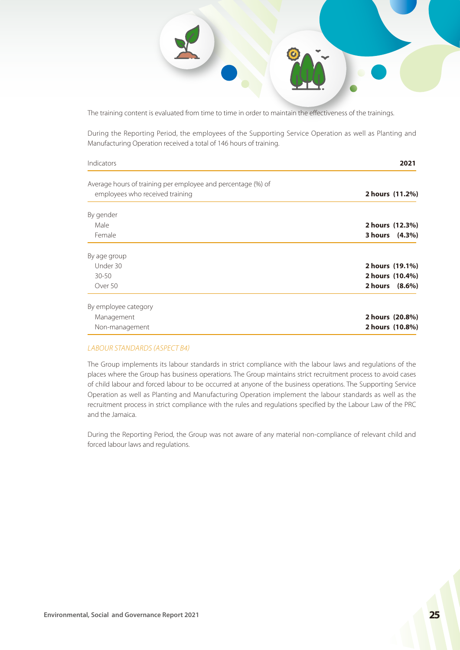

The training content is evaluated from time to time in order to maintain the effectiveness of the trainings.

During the Reporting Period, the employees of the Supporting Service Operation as well as Planting and Manufacturing Operation received a total of 146 hours of training.

| Indicators                                                                                      | 2021            |  |
|-------------------------------------------------------------------------------------------------|-----------------|--|
| Average hours of training per employee and percentage (%) of<br>employees who received training | 2 hours (11.2%) |  |
| By gender                                                                                       |                 |  |
| Male                                                                                            | 2 hours (12.3%) |  |
| Female                                                                                          | 3 hours (4.3%)  |  |
| By age group                                                                                    |                 |  |
| Under 30                                                                                        | 2 hours (19.1%) |  |
| $30 - 50$                                                                                       | 2 hours (10.4%) |  |
| Over 50                                                                                         | 2 hours (8.6%)  |  |
| By employee category                                                                            |                 |  |
| Management                                                                                      | 2 hours (20.8%) |  |
| Non-management                                                                                  | 2 hours (10.8%) |  |

#### *LABOUR STANDARDS (ASPECT B4)*

The Group implements its labour standards in strict compliance with the labour laws and regulations of the places where the Group has business operations. The Group maintains strict recruitment process to avoid cases of child labour and forced labour to be occurred at anyone of the business operations. The Supporting Service Operation as well as Planting and Manufacturing Operation implement the labour standards as well as the recruitment process in strict compliance with the rules and regulations specified by the Labour Law of the PRC and the Jamaica.

During the Reporting Period, the Group was not aware of any material non-compliance of relevant child and forced labour laws and regulations.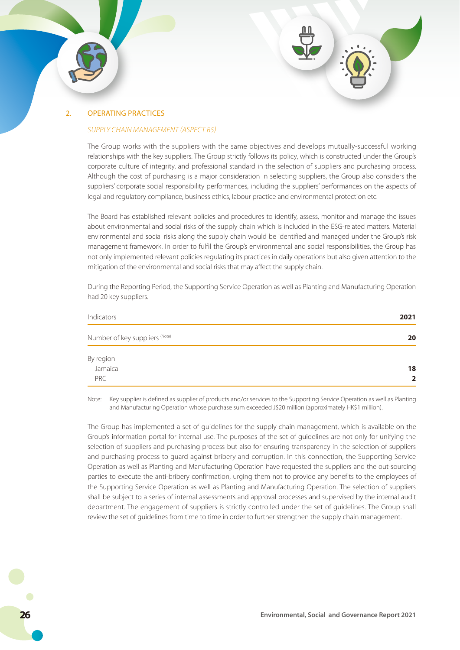

#### *SUPPLY CHAIN MANAGEMENT (ASPECT B5)*

The Group works with the suppliers with the same objectives and develops mutually-successful working relationships with the key suppliers. The Group strictly follows its policy, which is constructed under the Group's corporate culture of integrity, and professional standard in the selection of suppliers and purchasing process. Although the cost of purchasing is a major consideration in selecting suppliers, the Group also considers the suppliers' corporate social responsibility performances, including the suppliers' performances on the aspects of legal and regulatory compliance, business ethics, labour practice and environmental protection etc.

The Board has established relevant policies and procedures to identify, assess, monitor and manage the issues about environmental and social risks of the supply chain which is included in the ESG-related matters. Material environmental and social risks along the supply chain would be identified and managed under the Group's risk management framework. In order to fulfil the Group's environmental and social responsibilities, the Group has not only implemented relevant policies regulating its practices in daily operations but also given attention to the mitigation of the environmental and social risks that may affect the supply chain.

During the Reporting Period, the Supporting Service Operation as well as Planting and Manufacturing Operation had 20 key suppliers.

| Indicators                     | 2021           |
|--------------------------------|----------------|
| Number of key suppliers (Note) | 20             |
| By region<br>Jamaica           | 18             |
| PRC                            | $\overline{2}$ |

Note: Key supplier is defined as supplier of products and/or services to the Supporting Service Operation as well as Planting and Manufacturing Operation whose purchase sum exceeded J\$20 million (approximately HK\$1 million).

The Group has implemented a set of guidelines for the supply chain management, which is available on the Group's information portal for internal use. The purposes of the set of guidelines are not only for unifying the selection of suppliers and purchasing process but also for ensuring transparency in the selection of suppliers and purchasing process to guard against bribery and corruption. In this connection, the Supporting Service Operation as well as Planting and Manufacturing Operation have requested the suppliers and the out-sourcing parties to execute the anti-bribery confirmation, urging them not to provide any benefits to the employees of the Supporting Service Operation as well as Planting and Manufacturing Operation. The selection of suppliers shall be subject to a series of internal assessments and approval processes and supervised by the internal audit department. The engagement of suppliers is strictly controlled under the set of guidelines. The Group shall review the set of guidelines from time to time in order to further strengthen the supply chain management.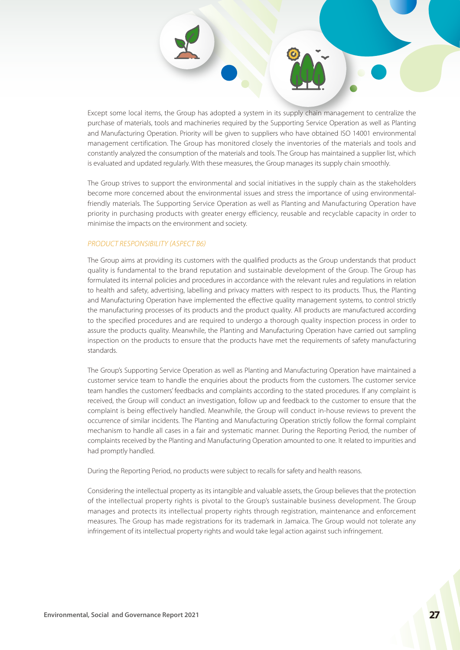Except some local items, the Group has adopted a system in its supply chain management to centralize the purchase of materials, tools and machineries required by the Supporting Service Operation as well as Planting and Manufacturing Operation. Priority will be given to suppliers who have obtained ISO 14001 environmental management certification. The Group has monitored closely the inventories of the materials and tools and constantly analyzed the consumption of the materials and tools. The Group has maintained a supplier list, which is evaluated and updated regularly. With these measures, the Group manages its supply chain smoothly.

The Group strives to support the environmental and social initiatives in the supply chain as the stakeholders become more concerned about the environmental issues and stress the importance of using environmentalfriendly materials. The Supporting Service Operation as well as Planting and Manufacturing Operation have priority in purchasing products with greater energy efficiency, reusable and recyclable capacity in order to minimise the impacts on the environment and society.

#### *PRODUCT RESPONSIBILITY (ASPECT B6)*

The Group aims at providing its customers with the qualified products as the Group understands that product quality is fundamental to the brand reputation and sustainable development of the Group. The Group has formulated its internal policies and procedures in accordance with the relevant rules and regulations in relation to health and safety, advertising, labelling and privacy matters with respect to its products. Thus, the Planting and Manufacturing Operation have implemented the effective quality management systems, to control strictly the manufacturing processes of its products and the product quality. All products are manufactured according to the specified procedures and are required to undergo a thorough quality inspection process in order to assure the products quality. Meanwhile, the Planting and Manufacturing Operation have carried out sampling inspection on the products to ensure that the products have met the requirements of safety manufacturing standards.

The Group's Supporting Service Operation as well as Planting and Manufacturing Operation have maintained a customer service team to handle the enquiries about the products from the customers. The customer service team handles the customers' feedbacks and complaints according to the stated procedures. If any complaint is received, the Group will conduct an investigation, follow up and feedback to the customer to ensure that the complaint is being effectively handled. Meanwhile, the Group will conduct in-house reviews to prevent the occurrence of similar incidents. The Planting and Manufacturing Operation strictly follow the formal complaint mechanism to handle all cases in a fair and systematic manner. During the Reporting Period, the number of complaints received by the Planting and Manufacturing Operation amounted to one. It related to impurities and had promptly handled.

During the Reporting Period, no products were subject to recalls for safety and health reasons.

Considering the intellectual property as its intangible and valuable assets, the Group believes that the protection of the intellectual property rights is pivotal to the Group's sustainable business development. The Group manages and protects its intellectual property rights through registration, maintenance and enforcement measures. The Group has made registrations for its trademark in Jamaica. The Group would not tolerate any infringement of its intellectual property rights and would take legal action against such infringement.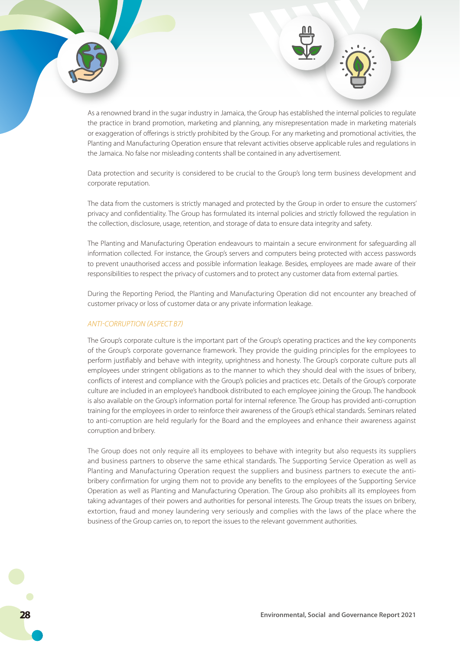As a renowned brand in the sugar industry in Jamaica, the Group has established the internal policies to regulate the practice in brand promotion, marketing and planning, any misrepresentation made in marketing materials or exaggeration of offerings is strictly prohibited by the Group. For any marketing and promotional activities, the Planting and Manufacturing Operation ensure that relevant activities observe applicable rules and regulations in the Jamaica. No false nor misleading contents shall be contained in any advertisement.

Data protection and security is considered to be crucial to the Group's long term business development and corporate reputation.

The data from the customers is strictly managed and protected by the Group in order to ensure the customers' privacy and confidentiality. The Group has formulated its internal policies and strictly followed the regulation in the collection, disclosure, usage, retention, and storage of data to ensure data integrity and safety.

The Planting and Manufacturing Operation endeavours to maintain a secure environment for safeguarding all information collected. For instance, the Group's servers and computers being protected with access passwords to prevent unauthorised access and possible information leakage. Besides, employees are made aware of their responsibilities to respect the privacy of customers and to protect any customer data from external parties.

During the Reporting Period, the Planting and Manufacturing Operation did not encounter any breached of customer privacy or loss of customer data or any private information leakage.

#### *ANTI-CORRUPTION (ASPECT B7)*

The Group's corporate culture is the important part of the Group's operating practices and the key components of the Group's corporate governance framework. They provide the guiding principles for the employees to perform justifiably and behave with integrity, uprightness and honesty. The Group's corporate culture puts all employees under stringent obligations as to the manner to which they should deal with the issues of bribery, conflicts of interest and compliance with the Group's policies and practices etc. Details of the Group's corporate culture are included in an employee's handbook distributed to each employee joining the Group. The handbook is also available on the Group's information portal for internal reference. The Group has provided anti-corruption training for the employees in order to reinforce their awareness of the Group's ethical standards. Seminars related to anti-corruption are held regularly for the Board and the employees and enhance their awareness against corruption and bribery.

The Group does not only require all its employees to behave with integrity but also requests its suppliers and business partners to observe the same ethical standards. The Supporting Service Operation as well as Planting and Manufacturing Operation request the suppliers and business partners to execute the antibribery confirmation for urging them not to provide any benefits to the employees of the Supporting Service Operation as well as Planting and Manufacturing Operation. The Group also prohibits all its employees from taking advantages of their powers and authorities for personal interests. The Group treats the issues on bribery, extortion, fraud and money laundering very seriously and complies with the laws of the place where the business of the Group carries on, to report the issues to the relevant government authorities.